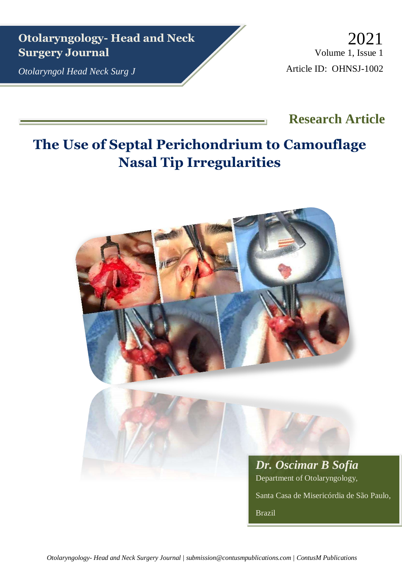**Otolaryngology- Head and Neck Surgery Journal**

*Otolaryngol Head Neck Surg J*

Volume 1, Issue 1 Article ID: OHNSJ-1002 2021

# **Research Article**

# **The Use of Septal Perichondrium to Camouflage Nasal Tip Irregularities**

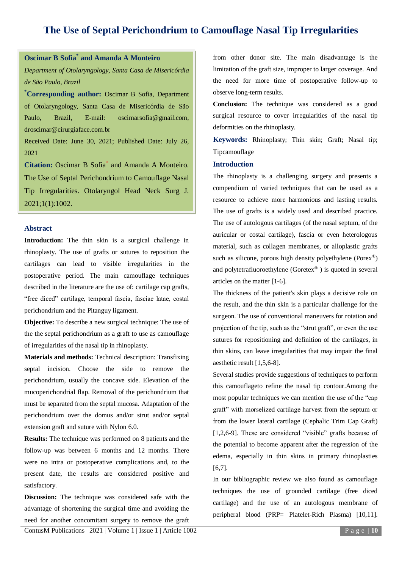## **The Use of Septal Perichondrium to Camouflage Nasal Tip Irregularities**

### **Oscimar B Sofia\* and Amanda A Monteiro**

*Department of Otolaryngology, Santa Casa de Misericórdia de São Paulo, Brazil*

**\*Corresponding author:** Oscimar B Sofia, Department of Otolaryngology, Santa Casa de Misericórdia de São Paulo, Brazil, E-mail: oscimarsofia@gmail.com, droscimar@cirurgiaface.com.br

Received Date: June 30, 2021; Published Date: July 26, 2021

**Citation:** Oscimar B Sofia\* and Amanda A Monteiro. The Use of Septal Perichondrium to Camouflage Nasal Tip Irregularities. Otolaryngol Head Neck Surg J. 2021;1(1):1002.

#### **Abstract**

**Introduction:** The thin skin is a surgical challenge in rhinoplasty. The use of grafts or sutures to reposition the cartilages can lead to visible irregularities in the postoperative period. The main camouflage techniques described in the literature are the use of: cartilage cap grafts, "free diced" cartilage, temporal fascia, fasciae latae, costal perichondrium and the Pitanguy ligament.

**Objective:** To describe a new surgical technique: The use of the the septal perichondrium as a graft to use as camouflage of irregularities of the nasal tip in rhinoplasty.

**Materials and methods:** Technical description: Transfixing septal incision. Choose the side to remove the perichondrium, usually the concave side. Elevation of the mucoperichondrial flap. Removal of the perichondrium that must be separated from the septal mucosa. Adaptation of the perichondrium over the domus and/or strut and/or septal extension graft and suture with Nylon 6.0.

**Results:** The technique was performed on 8 patients and the follow-up was between 6 months and 12 months. There were no intra or postoperative complications and, to the present date, the results are considered positive and satisfactory.

**Discussion:** The technique was considered safe with the advantage of shortening the surgical time and avoiding the need for another concomitant surgery to remove the graft

[ContusM Publications](https://contusm.com/) | 2021 | Volume 1 | Issue 1 | Article 1002 P a g e | 10

from other donor site. The main disadvantage is the limitation of the graft size, improper to larger coverage. And the need for more time of postoperative follow-up to observe long-term results.

**Conclusion:** The technique was considered as a good surgical resource to cover irregularities of the nasal tip deformities on the rhinoplasty.

**Keywords:** Rhinoplasty; Thin skin; Graft; Nasal tip; Tipcamouflage

#### **Introduction**

The rhinoplasty is a challenging surgery and presents a compendium of varied techniques that can be used as a resource to achieve more harmonious and lasting results. The use of grafts is a widely used and described practice. The use of autologous cartilages (of the nasal septum, of the auricular or costal cartilage), fascia or even heterologous material, such as collagen membranes, or alloplastic grafts such as silicone, porous high density polyethylene (Porex®) and polytetrafluoroethylene (Goretex® ) is quoted in several articles on the matter [1-6].

The thickness of the patient's skin plays a decisive role on the result, and the thin skin is a particular challenge for the surgeon. The use of conventional maneuvers for rotation and projection of the tip, such as the "strut graft", or even the use sutures for repositioning and definition of the cartilages, in thin skins, can leave irregularities that may impair the final aesthetic result [1,5,6-8].

Several studies provide suggestions of techniques to perform this camouflageto refine the nasal tip contour.Among the most popular techniques we can mention the use of the "cap graft" with morselized cartilage harvest from the septum or from the lower lateral cartilage (Cephalic Trim Cap Graft) [1,2,6-9]. These are considered "visible" grafts because of the potential to become apparent after the regression of the edema, especially in thin skins in primary rhinoplasties [6,7].

In our bibliographic review we also found as camouflage techniques the use of grounded cartilage (free diced cartilage) and the use of an autologous membrane of peripheral blood (PRP= Platelet-Rich Plasma) [10,11].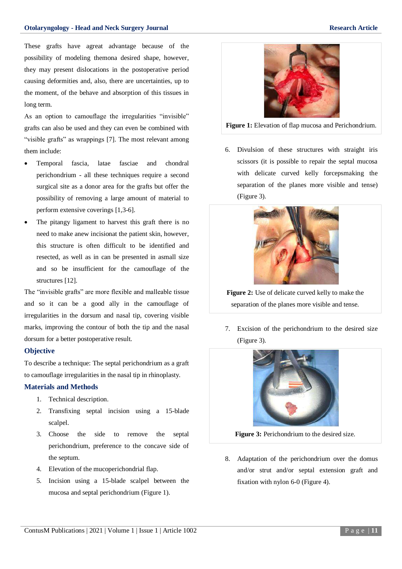These grafts have agreat advantage because of the possibility of modeling themona desired shape, however, they may present dislocations in the postoperative period causing deformities and, also, there are uncertainties, up to the moment, of the behave and absorption of this tissues in long term.

As an option to camouflage the irregularities "invisible" grafts can also be used and they can even be combined with "visible grafts" as wrappings [7]. The most relevant among them include:

- Temporal fascia, latae fasciae and chondral perichondrium - all these techniques require a second surgical site as a donor area for the grafts but offer the possibility of removing a large amount of material to perform extensive coverings [1,3-6].
- The pitangy ligament to harvest this graft there is no need to make anew incisionat the patient skin, however, this structure is often difficult to be identified and resected, as well as in can be presented in asmall size and so be insufficient for the camouflage of the structures [12].

The "invisible grafts" are more flexible and malleable tissue and so it can be a good ally in the camouflage of irregularities in the dorsum and nasal tip, covering visible marks, improving the contour of both the tip and the nasal dorsum for a better postoperative result.

#### **Objective**

To describe a technique: The septal perichondrium as a graft to camouflage irregularities in the nasal tip in rhinoplasty.

#### **Materials and Methods**

- 1. Technical description.
- 2. Transfixing septal incision using a 15-blade scalpel.
- 3. Choose the side to remove the septal perichondrium, preference to the concave side of the septum.
- 4. Elevation of the mucoperichondrial flap.
- 5. Incision using a 15-blade scalpel between the mucosa and septal perichondrium (Figure 1).



**Figure 1:** Elevation of flap mucosa and Perichondrium.

6. Divulsion of these structures with straight iris scissors (it is possible to repair the septal mucosa with delicate curved kelly forcepsmaking the separation of the planes more visible and tense) (Figure 3).



**Figure 2:** Use of delicate curved kelly to make the separation of the planes more visible and tense.

7. Excision of the perichondrium to the desired size (Figure 3).



**Figure 3:** Perichondrium to the desired size.

8. Adaptation of the perichondrium over the domus and/or strut and/or septal extension graft and fixation with nylon 6-0 (Figure 4).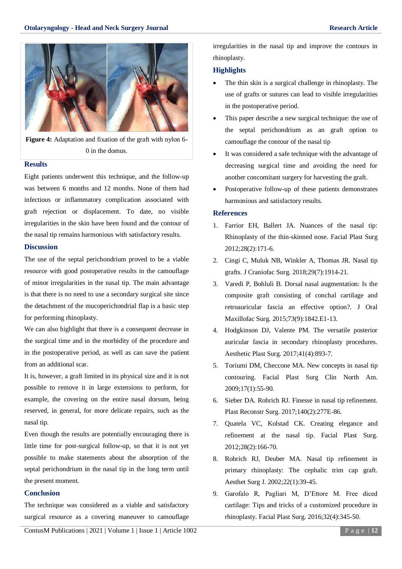

**Figure 4:** Adaptation and fixation of the graft with nylon 6- 0 in the domus.

#### **Results**

Eight patients underwent this technique, and the follow-up was between 6 months and 12 months. None of them had infectious or inflammatory complication associated with graft rejection or displacement. To date, no visible irregularities in the skin have been found and the contour of the nasal tip remains harmonious with satisfactory results.

#### **Discussion**

The use of the septal perichondrium proved to be a viable resource with good postoperative results in the camouflage of minor irregularities in the nasal tip. The main advantage is that there is no need to use a secondary surgical site since the detachment of the mucoperichondrial flap is a basic step for performing rhinoplasty.

We can also highlight that there is a consequent decrease in the surgical time and in the morbidity of the procedure and in the postoperative period, as well as can save the patient from an additional scar.

It is, however, a graft limited in its physical size and it is not possible to remove it in large extensions to perform, for example, the covering on the entire nasal dorsum, being reserved, in general, for more delicate repairs, such as the nasal tip.

Even though the results are potentially encouraging there is little time for post-surgical follow-up, so that it is not yet possible to make statements about the absorption of the septal perichondrium in the nasal tip in the long term until the present moment.

#### **Conclusion**

The technique was considered as a viable and satisfactory surgical resource as a covering maneuver to camouflage

[ContusM Publications](https://contusm.com/) | 2021 | Volume 1 | Issue 1 | Article 1002 P a g e | 12

irregularities in the nasal tip and improve the contours in rhinoplasty.

#### **Highlights**

- The thin skin is a surgical challenge in rhinoplasty. The use of grafts or sutures can lead to visible irregularities in the postoperative period.
- This paper describe a new surgical technique: the use of the septal perichondrium as an graft option to camouflage the contour of the nasal tip
- It was considered a safe technique with the advantage of decreasing surgical time and avoiding the need for another concomitant surgery for harvesting the graft.
- Postoperative follow-up of these patients demonstrates harmonious and satisfactory results.

#### **References**

- 1. [Farrior EH, Ballert JA. Nuances of the nasal tip:](https://pubmed.ncbi.nlm.nih.gov/22562566/)  Rhinoplasty of the [thin-skinned nose. Facial Plast Surg](https://pubmed.ncbi.nlm.nih.gov/22562566/)  [2012;28\(2\):171-6.](https://pubmed.ncbi.nlm.nih.gov/22562566/)
- 2. [Cingi C, Muluk NB, Winkler A, Thomas JR. Nasal tip](https://pubmed.ncbi.nlm.nih.gov/30234713/)  [grafts. J Craniofac Surg. 2018;29\(7\):1914-21.](https://pubmed.ncbi.nlm.nih.gov/30234713/)
- 3. [Varedi P, Bohluli B. Dorsal nasal augmentation: Is the](https://pubmed.ncbi.nlm.nih.gov/26072181/)  [composite graft consisting of conchal cartilage and](https://pubmed.ncbi.nlm.nih.gov/26072181/)  [retroauricular fascia an effective option?. J Oral](https://pubmed.ncbi.nlm.nih.gov/26072181/)  [Maxillofac Surg. 2015;73\(9\):1842.E1-13.](https://pubmed.ncbi.nlm.nih.gov/26072181/)
- 4. [Hodgkinson DJ, Valente PM. The versatile posterior](https://pubmed.ncbi.nlm.nih.gov/28341947/)  [auricular fascia in secondary rhinoplasty procedures.](https://pubmed.ncbi.nlm.nih.gov/28341947/)  [Aesthetic Plast Surg. 2017;41\(4\):893-7.](https://pubmed.ncbi.nlm.nih.gov/28341947/)
- 5. [Toriumi DM, Checcone MA. New concepts in](https://pubmed.ncbi.nlm.nih.gov/19181281/) nasal tip [contouring. Facial Plast Surg Clin North Am.](https://pubmed.ncbi.nlm.nih.gov/19181281/)  [2009;17\(1\):55-90.](https://pubmed.ncbi.nlm.nih.gov/19181281/)
- 6. [Sieber DA. Rohrich RJ. Finesse in nasal tip refinement.](https://pubmed.ncbi.nlm.nih.gov/28746275/)  [Plast Reconstr Surg. 2017;140\(2\):277E-86.](https://pubmed.ncbi.nlm.nih.gov/28746275/)
- 7. [Quatela VC, Kolstad CK. Creating elegance and](https://pubmed.ncbi.nlm.nih.gov/22562565/)  [refinement at the nasal tip. Facial Plast Surg.](https://pubmed.ncbi.nlm.nih.gov/22562565/)  [2012;28\(2\):166-70.](https://pubmed.ncbi.nlm.nih.gov/22562565/)
- 8. [Rohrich RJ, Deuber MA. Nasal tip refinement in](https://pubmed.ncbi.nlm.nih.gov/19331951/)  [primary rhinoplasty: The cephalic trim cap graft.](https://pubmed.ncbi.nlm.nih.gov/19331951/)  [Aesthet Surg J. 2002;22\(1\):39-45.](https://pubmed.ncbi.nlm.nih.gov/19331951/)
- 9. Garofalo R, Pagliari M, D'Ettore M. Free diced cartilage: Tips and tricks of a customized procedure in rhinoplasty. Facial Plast Surg. 2016;32(4):345-50.